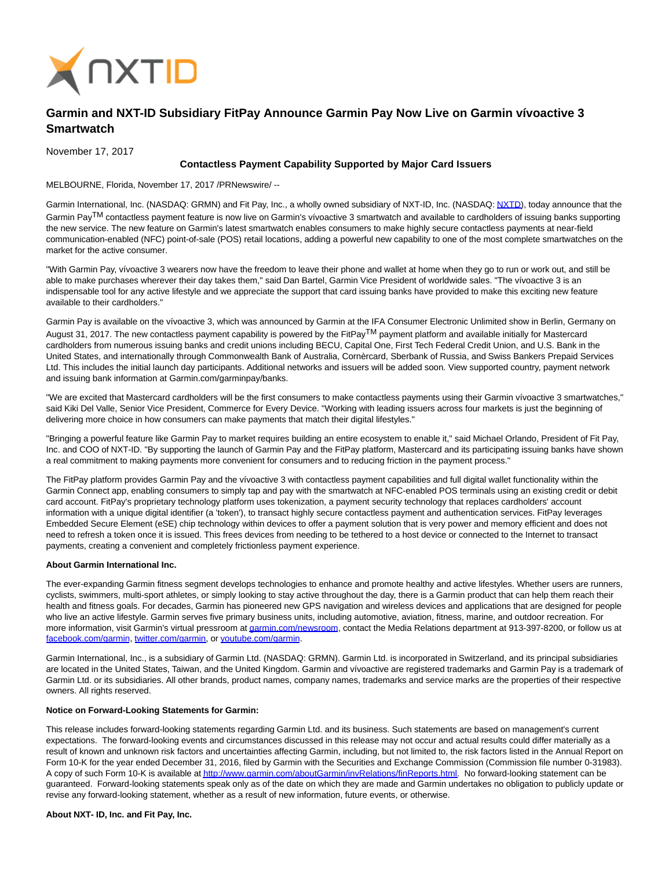

# **Garmin and NXT-ID Subsidiary FitPay Announce Garmin Pay Now Live on Garmin vívoactive 3 Smartwatch**

November 17, 2017

# **Contactless Payment Capability Supported by Major Card Issuers**

MELBOURNE, Florida, November 17, 2017 /PRNewswire/ --

Garmin International, Inc. (NASDAQ: GRMN) and Fit Pay, Inc., a wholly owned subsidiary of NXT-ID, Inc. (NASDAQ: [NXTD\),](https://finance.yahoo.com/q?s=nxtd) today announce that the Garmin Pay<sup>TM</sup> contactless payment feature is now live on Garmin's vívoactive 3 smartwatch and available to cardholders of issuing banks supporting the new service. The new feature on Garmin's latest smartwatch enables consumers to make highly secure contactless payments at near-field communication-enabled (NFC) point-of-sale (POS) retail locations, adding a powerful new capability to one of the most complete smartwatches on the market for the active consumer.

"With Garmin Pay, vívoactive 3 wearers now have the freedom to leave their phone and wallet at home when they go to run or work out, and still be able to make purchases wherever their day takes them," said Dan Bartel, Garmin Vice President of worldwide sales. "The vívoactive 3 is an indispensable tool for any active lifestyle and we appreciate the support that card issuing banks have provided to make this exciting new feature available to their cardholders."

Garmin Pay is available on the vívoactive 3, which was announced by Garmin at the IFA Consumer Electronic Unlimited show in Berlin, Germany on August 31, 2017. The new contactless payment capability is powered by the FitPay<sup>TM</sup> payment platform and available initially for Mastercard cardholders from numerous issuing banks and credit unions including BECU, Capital One, First Tech Federal Credit Union, and U.S. Bank in the United States, and internationally through Commonwealth Bank of Australia, Cornèrcard, Sberbank of Russia, and Swiss Bankers Prepaid Services Ltd. This includes the initial launch day participants. Additional networks and issuers will be added soon. View supported country, payment network and issuing bank information at Garmin.com/garminpay/banks.

"We are excited that Mastercard cardholders will be the first consumers to make contactless payments using their Garmin vívoactive 3 smartwatches," said Kiki Del Valle, Senior Vice President, Commerce for Every Device. "Working with leading issuers across four markets is just the beginning of delivering more choice in how consumers can make payments that match their digital lifestyles."

"Bringing a powerful feature like Garmin Pay to market requires building an entire ecosystem to enable it," said Michael Orlando, President of Fit Pay, Inc. and COO of NXT-ID. "By supporting the launch of Garmin Pay and the FitPay platform, Mastercard and its participating issuing banks have shown a real commitment to making payments more convenient for consumers and to reducing friction in the payment process."

The FitPay platform provides Garmin Pay and the vívoactive 3 with contactless payment capabilities and full digital wallet functionality within the Garmin Connect app, enabling consumers to simply tap and pay with the smartwatch at NFC-enabled POS terminals using an existing credit or debit card account. FitPay's proprietary technology platform uses tokenization, a payment security technology that replaces cardholders' account information with a unique digital identifier (a 'token'), to transact highly secure contactless payment and authentication services. FitPay leverages Embedded Secure Element (eSE) chip technology within devices to offer a payment solution that is very power and memory efficient and does not need to refresh a token once it is issued. This frees devices from needing to be tethered to a host device or connected to the Internet to transact payments, creating a convenient and completely frictionless payment experience.

## **About Garmin International Inc.**

The ever-expanding Garmin fitness segment develops technologies to enhance and promote healthy and active lifestyles. Whether users are runners, cyclists, swimmers, multi-sport athletes, or simply looking to stay active throughout the day, there is a Garmin product that can help them reach their health and fitness goals. For decades, Garmin has pioneered new GPS navigation and wireless devices and applications that are designed for people who live an active lifestyle. Garmin serves five primary business units, including automotive, aviation, fitness, marine, and outdoor recreation. For more information, visit Garmin's virtual pressroom a[t garmin.com/newsroom,](http://www.garmin.com/newsroom) contact the Media Relations department at 913-397-8200, or follow us at [facebook.com/garmin,](http://www.facebook.com/garmin) [twitter.com/garmin,](http://www.twitter.com/garmin) o[r youtube.com/garmin.](http://www.youtube.com/garmin)

Garmin International, Inc., is a subsidiary of Garmin Ltd. (NASDAQ: GRMN). Garmin Ltd. is incorporated in Switzerland, and its principal subsidiaries are located in the United States, Taiwan, and the United Kingdom. Garmin and vívoactive are registered trademarks and Garmin Pay is a trademark of Garmin Ltd. or its subsidiaries. All other brands, product names, company names, trademarks and service marks are the properties of their respective owners. All rights reserved.

#### **Notice on Forward-Looking Statements for Garmin:**

This release includes forward-looking statements regarding Garmin Ltd. and its business. Such statements are based on management's current expectations. The forward-looking events and circumstances discussed in this release may not occur and actual results could differ materially as a result of known and unknown risk factors and uncertainties affecting Garmin, including, but not limited to, the risk factors listed in the Annual Report on Form 10-K for the year ended December 31, 2016, filed by Garmin with the Securities and Exchange Commission (Commission file number 0-31983). A copy of such Form 10-K is available a[t http://www.garmin.com/aboutGarmin/invRelations/finReports.html.](http://www.garmin.com/aboutGarmin/invRelations/finReports.html) No forward-looking statement can be guaranteed. Forward-looking statements speak only as of the date on which they are made and Garmin undertakes no obligation to publicly update or revise any forward-looking statement, whether as a result of new information, future events, or otherwise.

## **About NXT- ID, Inc. and Fit Pay, Inc.**